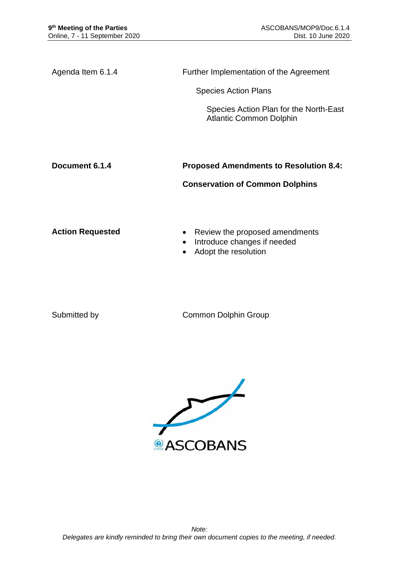Agenda Item 6.1.4 Further Implementation of the Agreement

Species Action Plans

Species Action Plan for the North-East Atlantic Common Dolphin

**Document 6.1.4 Proposed Amendments to Resolution 8.4:** 

**Conservation of Common Dolphins**

**Action Requested • Review the proposed amendments** 

- Introduce changes if needed
- Adopt the resolution

Submitted by Common Dolphin Group

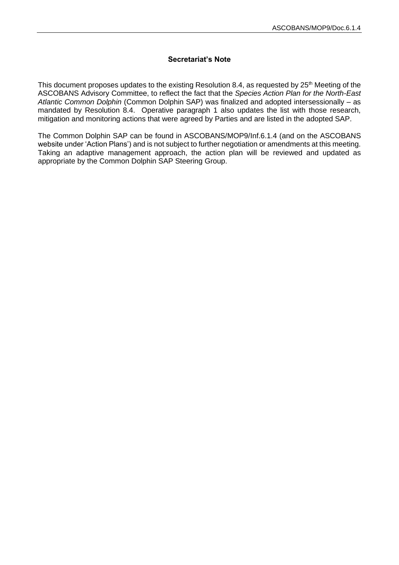## **Secretariat's Note**

This document proposes updates to the existing Resolution 8.4, as requested by 25<sup>th</sup> Meeting of the ASCOBANS Advisory Committee, to reflect the fact that the *Species Action Plan for the North-East Atlantic Common Dolphin* (Common Dolphin SAP) was finalized and adopted intersessionally – as mandated by Resolution 8.4. Operative paragraph 1 also updates the list with those research, mitigation and monitoring actions that were agreed by Parties and are listed in the adopted SAP.

The Common Dolphin SAP can be found in ASCOBANS/MOP9/Inf.6.1.4 (and on the ASCOBANS website under 'Action Plans') and is not subject to further negotiation or amendments at this meeting. Taking an adaptive management approach, the action plan will be reviewed and updated as appropriate by the Common Dolphin SAP Steering Group.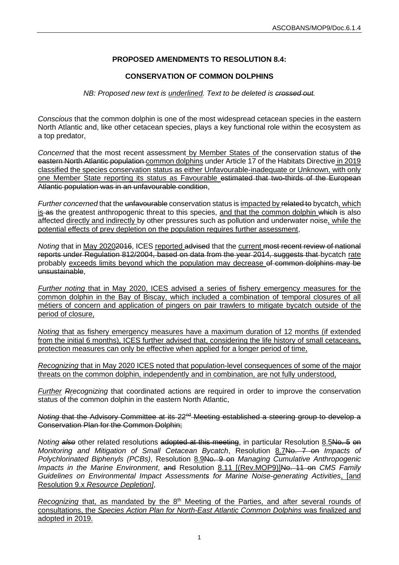## **PROPOSED AMENDMENTS TO RESOLUTION 8.4:**

## **CONSERVATION OF COMMON DOLPHINS**

*NB: Proposed new text is underlined. Text to be deleted is crossed out.*

*Conscious* that the common dolphin is one of the most widespread cetacean species in the eastern North Atlantic and, like other cetacean species, plays a key functional role within the ecosystem as a top predator,

Concerned that the most recent assessment by Member States of the conservation status of the eastern North Atlantic population common dolphins under Article 17 of the Habitats Directive in 2019 classified the species conservation status as either Unfavourable-inadequate or Unknown, with only one Member State reporting its status as Favourable estimated that two-thirds of the European Atlantic population was in an unfavourable condition,

*Further concerned* that the unfavourable conservation status is impacted by related to bycatch, which is as the greatest anthropogenic threat to this species, and that the common dolphin which is also affected directly and indirectly by other pressures such as pollution and underwater noise, while the potential effects of prey depletion on the population requires further assessment,

*Noting* that in May 2020<del>2016</del>, ICES reported advised that the current most recent review of national reports under Regulation 812/2004, based on data from the year 2014, suggests that bycatch rate probably exceeds limits beyond which the population may decrease of common dolphins may be unsustainable,

*Further noting* that in May 2020, ICES advised a series of fishery emergency measures for the common dolphin in the Bay of Biscay, which included a combination of temporal closures of all métiers of concern and application of pingers on pair trawlers to mitigate bycatch outside of the period of closure,

*Noting* that as fishery emergency measures have a maximum duration of 12 months (if extended from the initial 6 months), ICES further advised that, considering the life history of small cetaceans, protection measures can only be effective when applied for a longer period of time,

*Recognizing* that in May 2020 ICES noted that population-level consequences of some of the major threats on the common dolphin, independently and in combination, are not fully understood,

*Further Rrecognizing* that coordinated actions are required in order to improve the conservation status of the common dolphin in the eastern North Atlantic,

*Noting that the Advisory Committee at its 22<sup>nd</sup> Meeting established a steering group to develop a* Conservation Plan for the Common Dolphin;

*Noting* also other related resolutions adopted at this meeting, in particular Resolution 8.5No. 5 on *Monitoring and Mitigation of Small Cetacean Bycatch*, Resolution 8.7No. 7 on *Impacts of Polychlorinated Biphenyls (PCBs)*, Resolution 8.9No. 9 on *Managing Cumulative Anthropogenic Impacts in the Marine Environment*, and Resolution 8.11 [(Rev.MOP9)]No. 11 on *CMS Family Guidelines on Environmental Impact Assessments for Marine Noise-generating Activities*, [and Resolution 9.x *Resource Depletion]*,

*Recognizing* that, as mandated by the 8<sup>th</sup> Meeting of the Parties, and after several rounds of consultations, the *Species Action Plan for North-East Atlantic Common Dolphins* was finalized and adopted in 2019.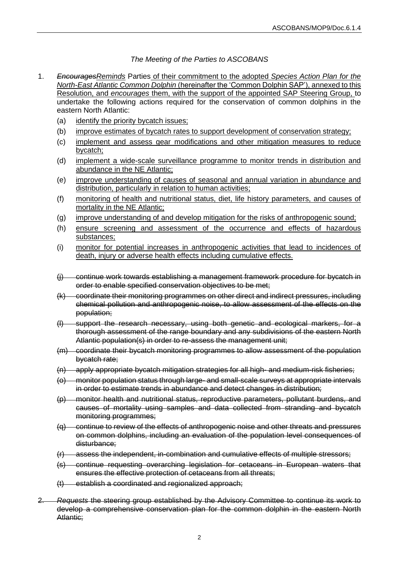*The Meeting of the Parties to ASCOBANS*

- 1. *EncouragesReminds* Parties of their commitment to the adopted *Species Action Plan for the North-East Atlantic Common Dolphin* (hereinafter the 'Common Dolphin SAP'), annexed to this Resolution, and *encourages* them, with the support of the appointed SAP Steering Group, to undertake the following actions required for the conservation of common dolphins in the eastern North Atlantic:
	- (a) identify the priority bycatch issues;
	- (b) improve estimates of bycatch rates to support development of conservation strategy;
	- (c) implement and assess gear modifications and other mitigation measures to reduce bycatch;
	- (d) implement a wide-scale surveillance programme to monitor trends in distribution and abundance in the NE Atlantic;
	- (e) improve understanding of causes of seasonal and annual variation in abundance and distribution, particularly in relation to human activities;
	- (f) monitoring of health and nutritional status, diet, life history parameters, and causes of mortality in the NE Atlantic;
	- (g) improve understanding of and develop mitigation for the risks of anthropogenic sound;
	- (h) ensure screening and assessment of the occurrence and effects of hazardous substances;
	- (i) monitor for potential increases in anthropogenic activities that lead to incidences of death, injury or adverse health effects including cumulative effects.
	- (j) continue work towards establishing a management framework procedure for bycatch in order to enable specified conservation objectives to be met;
	- (k) coordinate their monitoring programmes on other direct and indirect pressures, including chemical pollution and anthropogenic noise, to allow assessment of the effects on the population;
	- (l) support the research necessary, using both genetic and ecological markers, for a thorough assessment of the range boundary and any subdivisions of the eastern North Atlantic population(s) in order to re-assess the management unit;
	- (m) coordinate their bycatch monitoring programmes to allow assessment of the population bycatch rate;
	- (n) apply appropriate bycatch mitigation strategies for all high- and medium-risk fisheries;
	- (o) monitor population status through large- and small-scale surveys at appropriate intervals in order to estimate trends in abundance and detect changes in distribution;
	- (p) monitor health and nutritional status, reproductive parameters, pollutant burdens, and causes of mortality using samples and data collected from stranding and bycatch monitoring programmes;
	- (q) continue to review of the effects of anthropogenic noise and other threats and pressures on common dolphins, including an evaluation of the population level consequences of disturbance;
	- (r) assess the independent, in-combination and cumulative effects of multiple stressors;
	- (s) continue requesting overarching legislation for cetaceans in European waters that ensures the effective protection of cetaceans from all threats;
	- (t) establish a coordinated and regionalized approach;
- 2. *Requests* the steering group established by the Advisory Committee to continue its work to develop a comprehensive conservation plan for the common dolphin in the eastern North Atlantic: